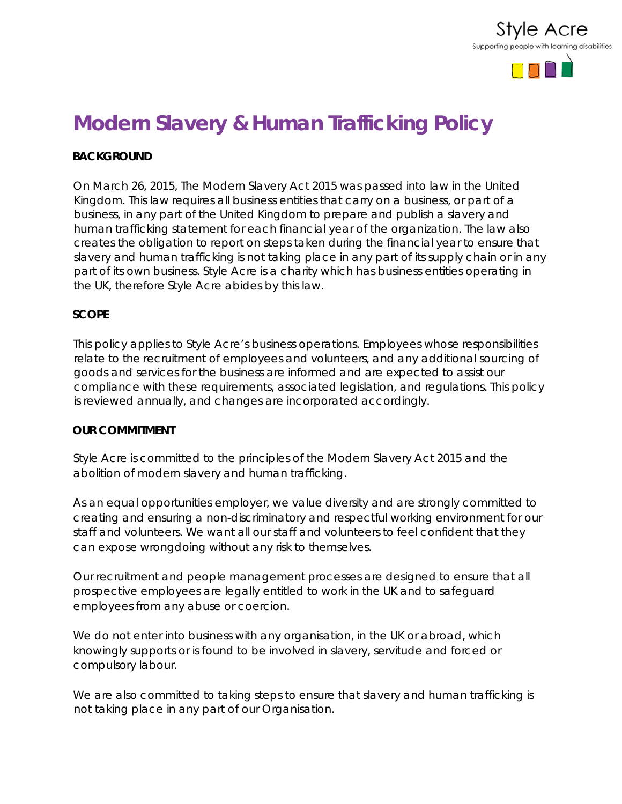

# **Modern Slavery & Human Trafficking Policy**

## **BACKGROUND**

On March 26, 2015, The Modern Slavery Act 2015 was passed into law in the United Kingdom. This law requires all business entities that carry on a business, or part of a business, in any part of the United Kingdom to prepare and publish a slavery and human trafficking statement for each financial year of the organization. The law also creates the obligation to report on steps taken during the financial year to ensure that slavery and human trafficking is not taking place in any part of its supply chain or in any part of its own business. Style Acre is a charity which has business entities operating in the UK, therefore Style Acre abides by this law.

## **SCOPE**

This policy applies to Style Acre's business operations. Employees whose responsibilities relate to the recruitment of employees and volunteers, and any additional sourcing of goods and services for the business are informed and are expected to assist our compliance with these requirements, associated legislation, and regulations. This policy is reviewed annually, and changes are incorporated accordingly.

#### **OUR COMMITMENT**

Style Acre is committed to the principles of the Modern Slavery Act 2015 and the abolition of modern slavery and human trafficking.

As an equal opportunities employer, we value diversity and are strongly committed to creating and ensuring a non-discriminatory and respectful working environment for our staff and volunteers. We want all our staff and volunteers to feel confident that they can expose wrongdoing without any risk to themselves.

Our recruitment and people management processes are designed to ensure that all prospective employees are legally entitled to work in the UK and to safeguard employees from any abuse or coercion.

We do not enter into business with any organisation, in the UK or abroad, which knowingly supports or is found to be involved in slavery, servitude and forced or compulsory labour.

We are also committed to taking steps to ensure that slavery and human trafficking is not taking place in any part of our Organisation.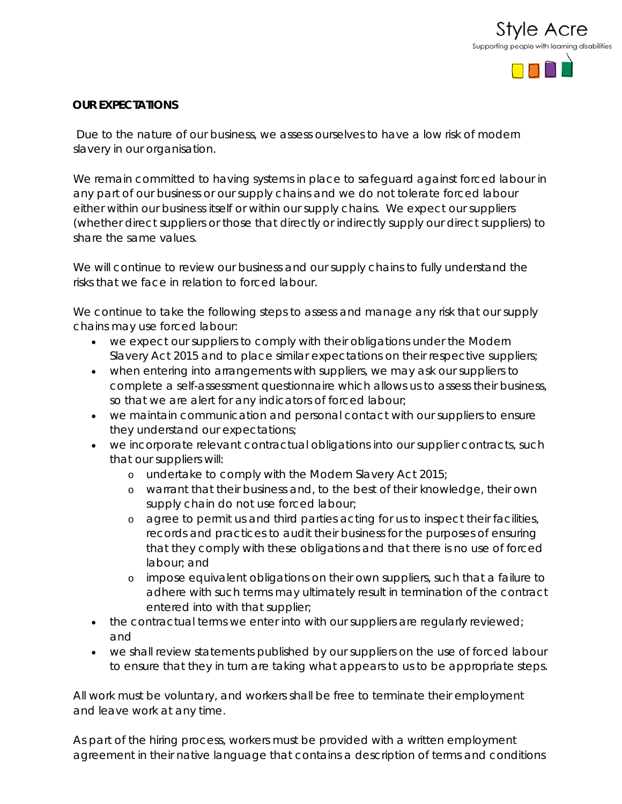

## **OUR EXPECTATIONS**

Due to the nature of our business, we assess ourselves to have a low risk of modern slavery in our organisation.

We remain committed to having systems in place to safeguard against forced labour in any part of our business or our supply chains and we do not tolerate forced labour either within our business itself or within our supply chains. We expect our suppliers (whether direct suppliers or those that directly or indirectly supply our direct suppliers) to share the same values.

We will continue to review our business and our supply chains to fully understand the risks that we face in relation to forced labour.

We continue to take the following steps to assess and manage any risk that our supply chains may use forced labour:

- we expect our suppliers to comply with their obligations under the Modern Slavery Act 2015 and to place similar expectations on their respective suppliers;
- when entering into arrangements with suppliers, we may ask our suppliers to complete a self-assessment questionnaire which allows us to assess their business, so that we are alert for any indicators of forced labour;
- we maintain communication and personal contact with our suppliers to ensure they understand our expectations;
- we incorporate relevant contractual obligations into our supplier contracts, such that our suppliers will:
	- o undertake to comply with the Modern Slavery Act 2015;
	- o warrant that their business and, to the best of their knowledge, their own supply chain do not use forced labour;
	- o agree to permit us and third parties acting for us to inspect their facilities, records and practices to audit their business for the purposes of ensuring that they comply with these obligations and that there is no use of forced labour; and
	- o impose equivalent obligations on their own suppliers, such that a failure to adhere with such terms may ultimately result in termination of the contract entered into with that supplier;
- the contractual terms we enter into with our suppliers are regularly reviewed; and
- we shall review statements published by our suppliers on the use of forced labour to ensure that they in turn are taking what appears to us to be appropriate steps.

All work must be voluntary, and workers shall be free to terminate their employment and leave work at any time.

As part of the hiring process, workers must be provided with a written employment agreement in their native language that contains a description of terms and conditions